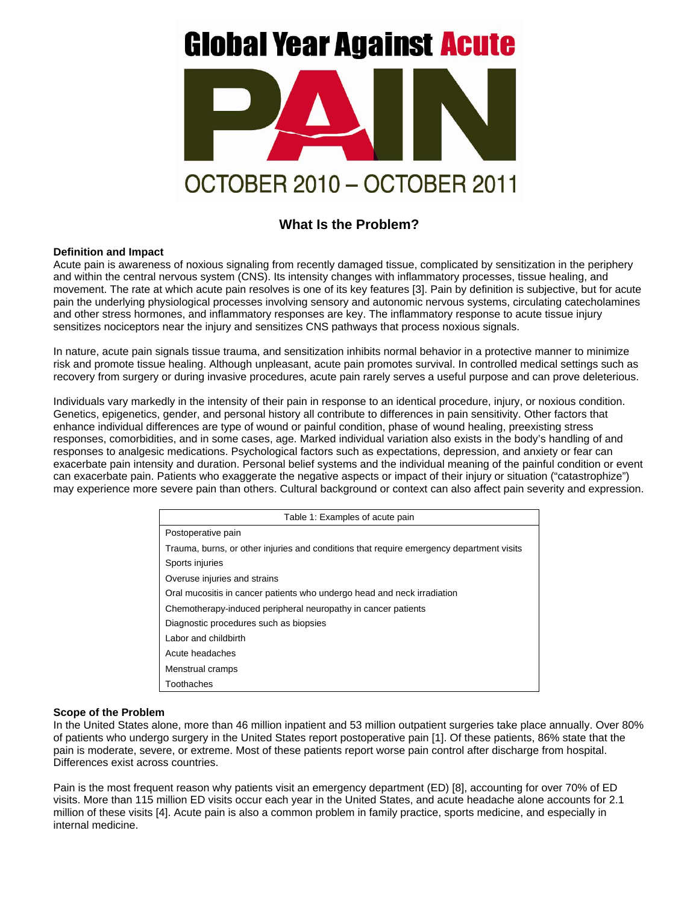# **Global Year Against Acute**



# **What Is the Problem?**

#### **Definition and Impact**

Acute pain is awareness of noxious signaling from recently damaged tissue, complicated by sensitization in the periphery and within the central nervous system (CNS). Its intensity changes with inflammatory processes, tissue healing, and movement. The rate at which acute pain resolves is one of its key features [3]. Pain by definition is subjective, but for acute pain the underlying physiological processes involving sensory and autonomic nervous systems, circulating catecholamines and other stress hormones, and inflammatory responses are key. The inflammatory response to acute tissue injury sensitizes nociceptors near the injury and sensitizes CNS pathways that process noxious signals.

In nature, acute pain signals tissue trauma, and sensitization inhibits normal behavior in a protective manner to minimize risk and promote tissue healing. Although unpleasant, acute pain promotes survival. In controlled medical settings such as recovery from surgery or during invasive procedures, acute pain rarely serves a useful purpose and can prove deleterious.

Individuals vary markedly in the intensity of their pain in response to an identical procedure, injury, or noxious condition. Genetics, epigenetics, gender, and personal history all contribute to differences in pain sensitivity. Other factors that enhance individual differences are type of wound or painful condition, phase of wound healing, preexisting stress responses, comorbidities, and in some cases, age. Marked individual variation also exists in the body's handling of and responses to analgesic medications. Psychological factors such as expectations, depression, and anxiety or fear can exacerbate pain intensity and duration. Personal belief systems and the individual meaning of the painful condition or event can exacerbate pain. Patients who exaggerate the negative aspects or impact of their injury or situation ("catastrophize") may experience more severe pain than others. Cultural background or context can also affect pain severity and expression.

| Table 1: Examples of acute pain                                                          |
|------------------------------------------------------------------------------------------|
| Postoperative pain                                                                       |
| Trauma, burns, or other injuries and conditions that require emergency department visits |
| Sports injuries                                                                          |
| Overuse injuries and strains                                                             |
| Oral mucositis in cancer patients who undergo head and neck irradiation                  |
| Chemotherapy-induced peripheral neuropathy in cancer patients                            |
| Diagnostic procedures such as biopsies                                                   |
| Labor and childbirth                                                                     |
| Acute headaches                                                                          |
| Menstrual cramps                                                                         |
| Toothaches                                                                               |

#### **Scope of the Problem**

In the United States alone, more than 46 million inpatient and 53 million outpatient surgeries take place annually. Over 80% of patients who undergo surgery in the United States report postoperative pain [1]. Of these patients, 86% state that the pain is moderate, severe, or extreme. Most of these patients report worse pain control after discharge from hospital. Differences exist across countries.

Pain is the most frequent reason why patients visit an emergency department (ED) [8], accounting for over 70% of ED visits. More than 115 million ED visits occur each year in the United States, and acute headache alone accounts for 2.1 million of these visits [4]. Acute pain is also a common problem in family practice, sports medicine, and especially in internal medicine.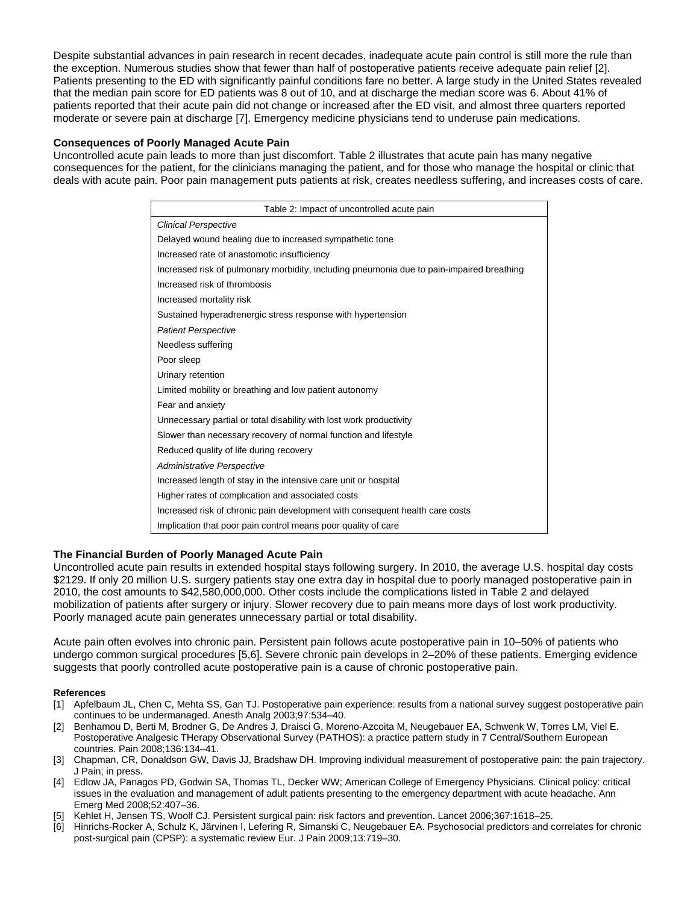Despite substantial advances in pain research in recent decades, inadequate acute pain control is still more the rule than the exception. Numerous studies show that fewer than half of postoperative patients receive adequate pain relief [2]. Patients presenting to the ED with significantly painful conditions fare no better. A large study in the United States revealed that the median pain score for ED patients was 8 out of 10, and at discharge the median score was 6. About 41% of patients reported that their acute pain did not change or increased after the ED visit, and almost three quarters reported moderate or severe pain at discharge [7]. Emergency medicine physicians tend to underuse pain medications.

## **Consequences of Poorly Managed Acute Pain**

Uncontrolled acute pain leads to more than just discomfort. Table 2 illustrates that acute pain has many negative consequences for the patient, for the clinicians managing the patient, and for those who manage the hospital or clinic that deals with acute pain. Poor pain management puts patients at risk, creates needless suffering, and increases costs of care.

| Table 2: Impact of uncontrolled acute pain                                                |
|-------------------------------------------------------------------------------------------|
| <b>Clinical Perspective</b>                                                               |
| Delayed wound healing due to increased sympathetic tone                                   |
| Increased rate of anastomotic insufficiency                                               |
| Increased risk of pulmonary morbidity, including pneumonia due to pain-impaired breathing |
| Increased risk of thrombosis                                                              |
| Increased mortality risk                                                                  |
| Sustained hyperadrenergic stress response with hypertension                               |
| <b>Patient Perspective</b>                                                                |
| Needless suffering                                                                        |
| Poor sleep                                                                                |
| Urinary retention                                                                         |
| Limited mobility or breathing and low patient autonomy                                    |
| Fear and anxiety                                                                          |
| Unnecessary partial or total disability with lost work productivity                       |
| Slower than necessary recovery of normal function and lifestyle                           |
| Reduced quality of life during recovery                                                   |
| Administrative Perspective                                                                |
| Increased length of stay in the intensive care unit or hospital                           |
| Higher rates of complication and associated costs                                         |
| Increased risk of chronic pain development with consequent health care costs              |
| Implication that poor pain control means poor quality of care                             |

# **The Financial Burden of Poorly Managed Acute Pain**

Uncontrolled acute pain results in extended hospital stays following surgery. In 2010, the average U.S. hospital day costs \$2129. If only 20 million U.S. surgery patients stay one extra day in hospital due to poorly managed postoperative pain in 2010, the cost amounts to \$42,580,000,000. Other costs include the complications listed in Table 2 and delayed mobilization of patients after surgery or injury. Slower recovery due to pain means more days of lost work productivity. Poorly managed acute pain generates unnecessary partial or total disability.

Acute pain often evolves into chronic pain. Persistent pain follows acute postoperative pain in 10–50% of patients who undergo common surgical procedures [5,6]. Severe chronic pain develops in 2–20% of these patients. Emerging evidence suggests that poorly controlled acute postoperative pain is a cause of chronic postoperative pain.

### **References**

- [1] Apfelbaum JL, Chen C, Mehta SS, Gan TJ. Postoperative pain experience: results from a national survey suggest postoperative pain continues to be undermanaged. Anesth Analg 2003;97:534–40.
- [2] Benhamou D, Berti M, Brodner G, De Andres J, Draisci G, Moreno-Azcoita M, Neugebauer EA, Schwenk W, Torres LM, Viel E. Postoperative Analgesic THerapy Observational Survey (PATHOS): a practice pattern study in 7 Central/Southern European countries. Pain 2008;136:134–41.
- [3] Chapman, CR, Donaldson GW, Davis JJ, Bradshaw DH. Improving individual measurement of postoperative pain: the pain trajectory. J Pain; in press.
- [4] Edlow JA, Panagos PD, Godwin SA, Thomas TL, Decker WW; American College of Emergency Physicians. Clinical policy: critical issues in the evaluation and management of adult patients presenting to the emergency department with acute headache. Ann Emerg Med 2008;52:407–36.
- [5] Kehlet H, Jensen TS, Woolf CJ. Persistent surgical pain: risk factors and prevention. Lancet 2006;367:1618–25.
- [6] Hinrichs-Rocker A, Schulz K, Järvinen I, Lefering R, Simanski C, Neugebauer EA. Psychosocial predictors and correlates for chronic post-surgical pain (CPSP): a systematic review Eur. J Pain 2009;13:719–30.